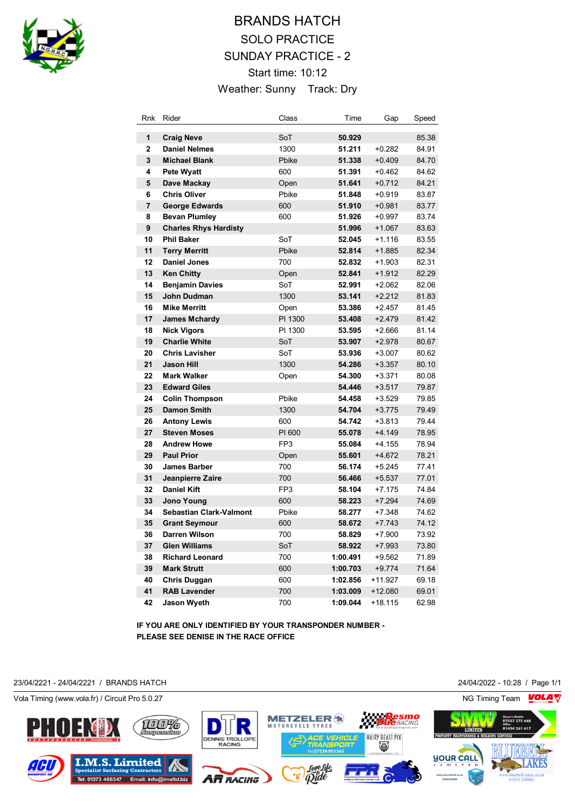

## BRANDS HATCH SOLO PRACTICE SUNDAY PRACTICE - 2 Start time: 10:12 Weather: Sunny Track: Dry

| <b>Rnk</b>     | Rider                          | Class           | Time     | Gap       | Speed |
|----------------|--------------------------------|-----------------|----------|-----------|-------|
| 1              | <b>Craig Neve</b>              | SoT             | 50.929   |           | 85.38 |
| $\overline{2}$ | <b>Daniel Nelmes</b>           | 1300            | 51.211   | $+0.282$  | 84.91 |
| 3              | <b>Michael Blank</b>           | Pbike           | 51.338   | $+0.409$  | 84.70 |
| 4              | <b>Pete Wyatt</b>              | 600             | 51.391   | $+0.462$  | 84.62 |
| 5              | Dave Mackay                    | Open            | 51.641   | $+0.712$  | 84.21 |
| 6              | <b>Chris Oliver</b>            | Pbike           | 51.848   | $+0.919$  | 83.87 |
| $\overline{7}$ | <b>George Edwards</b>          | 600             | 51.910   | $+0.981$  | 83.77 |
| 8              | <b>Bevan Plumley</b>           | 600             | 51.926   | $+0.997$  | 83.74 |
| 9              | <b>Charles Rhys Hardisty</b>   |                 | 51.996   | $+1.067$  | 83.63 |
| 10             | <b>Phil Baker</b>              | SoT             | 52.045   | $+1.116$  | 83.55 |
| 11             | <b>Terry Merritt</b>           | Pbike           | 52.814   | $+1.885$  | 82.34 |
| 12             | <b>Daniel Jones</b>            | 700             | 52.832   | $+1.903$  | 82.31 |
| 13             | <b>Ken Chitty</b>              | Open            | 52.841   | $+1.912$  | 82.29 |
| 14             | <b>Benjamin Davies</b>         | SoT             | 52.991   | $+2.062$  | 82.06 |
| 15             | John Dudman                    | 1300            | 53.141   | $+2.212$  | 81.83 |
| 16             | <b>Mike Merritt</b>            | Open            | 53.386   | $+2.457$  | 81.45 |
| 17             | <b>James Mchardy</b>           | PI 1300         | 53.408   | $+2.479$  | 81.42 |
| 18             | <b>Nick Vigors</b>             | PI 1300         | 53.595   | $+2.666$  | 81.14 |
| 19             | <b>Charlie White</b>           | SoT             | 53.907   | $+2.978$  | 80.67 |
| 20             | <b>Chris Lavisher</b>          | SoT             | 53.936   | $+3.007$  | 80.62 |
| 21             | <b>Jason Hill</b>              | 1300            | 54.286   | $+3.357$  | 80.10 |
| 22             | <b>Mark Walker</b>             | Open            | 54.300   | $+3.371$  | 80.08 |
| 23             | <b>Edward Giles</b>            |                 | 54.446   | $+3.517$  | 79.87 |
| 24             | <b>Colin Thompson</b>          | Pbike           | 54.458   | $+3.529$  | 79.85 |
| 25             | <b>Damon Smith</b>             | 1300            | 54.704   | $+3.775$  | 79.49 |
| 26             | <b>Antony Lewis</b>            | 600             | 54.742   | $+3.813$  | 79.44 |
| 27             | <b>Steven Moses</b>            | PI 600          | 55.078   | $+4.149$  | 78.95 |
| 28             | <b>Andrew Howe</b>             | FP <sub>3</sub> | 55.084   | $+4.155$  | 78.94 |
| 29             | <b>Paul Prior</b>              | Open            | 55.601   | $+4.672$  | 78.21 |
| 30             | <b>James Barber</b>            | 700             | 56.174   | $+5.245$  | 77.41 |
| 31             | Jeanpierre Zaire               | 700             | 56.466   | $+5.537$  | 77.01 |
| 32             | <b>Daniel Kift</b>             | FP <sub>3</sub> | 58.104   | $+7.175$  | 74.84 |
| 33             | <b>Jono Young</b>              | 600             | 58.223   | $+7.294$  | 74.69 |
| 34             | <b>Sebastian Clark-Valmont</b> | Pbike           | 58.277   | $+7.348$  | 74.62 |
| 35             | <b>Grant Seymour</b>           | 600             | 58.672   | $+7.743$  | 74.12 |
| 36             | <b>Darren Wilson</b>           | 700             | 58.829   | $+7.900$  | 73.92 |
| 37             | <b>Glen Williams</b>           | SoT             | 58.922   | $+7.993$  | 73.80 |
| 38             | <b>Richard Leonard</b>         | 700             | 1:00.491 | $+9.562$  | 71.89 |
| 39             | <b>Mark Strutt</b>             | 600             | 1:00.703 | $+9.774$  | 71.64 |
| 40             | Chris Duggan                   | 600             | 1:02.856 | +11.927   | 69.18 |
| 41             | <b>RAB Lavender</b>            | 700             | 1:03.009 | $+12.080$ | 69.01 |
| 42             | <b>Jason Wyeth</b>             | 700             | 1:09.044 | $+18.115$ | 62.98 |

**IF YOU ARE ONLY IDENTIFIED BY YOUR TRANSPONDER NUMBER - PLEASE SEE DENISE IN THE RACE OFFICE**

23/04/2221 - 24/04/2221 / BRANDS HATCH 24/04/2022 - 10:28 / Page 1/1

Vola Timing (www.vola.fr) / Circuit Pro 5.0.27 NG Timing Team NG Timing Team NG Timing Team NG Timing Team NG

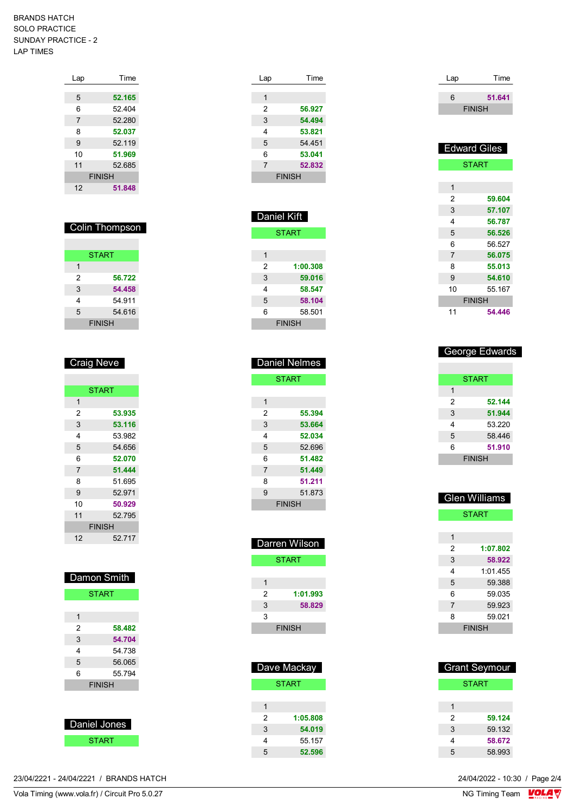BRANDS HATCH SOLO PRACTICE SUNDAY PRACTICE - 2 LAP TIMES

| Lap            | Time          |
|----------------|---------------|
|                |               |
| 5              | 52.165        |
| 6              | 52 404        |
| $\overline{7}$ | 52.280        |
| 8              | 52.037        |
| 9              | 52.119        |
| 10             | 51.969        |
| 11             | 52.685        |
|                | <b>FINISH</b> |
| 12             | 51.848        |

| <b>Colin Thompson</b> |        |  |  |
|-----------------------|--------|--|--|
| <b>START</b>          |        |  |  |
| 1                     |        |  |  |
| 2                     | 56.722 |  |  |
| 3                     | 54,458 |  |  |
| 4                     | 54 911 |  |  |
| 5                     | 54.616 |  |  |
| <b>FINISH</b>         |        |  |  |

| <b>Craig Neve</b> |               |  |
|-------------------|---------------|--|
|                   |               |  |
|                   | <b>START</b>  |  |
| 1                 |               |  |
| 2                 | 53.935        |  |
| 3                 | 53.116        |  |
| 4                 | 53.982        |  |
| 5                 | 54.656        |  |
| 6                 | 52.070        |  |
| $\overline{7}$    | 51.444        |  |
| 8                 | 51.695        |  |
| 9                 | 52.971        |  |
| 10                | 50.929        |  |
| 11                | 52 795        |  |
|                   | <b>FINISH</b> |  |
| 12                | 52.717        |  |

| Damon Smith   |              |  |
|---------------|--------------|--|
|               | <b>START</b> |  |
|               |              |  |
| 1             |              |  |
| 2             | 58.482       |  |
| 3             | 54.704       |  |
| 4             | 54 738       |  |
| 5             | 56.065       |  |
| 6             | 55.794       |  |
| <b>FINISH</b> |              |  |
|               |              |  |

| Daniel Jones |  |
|--------------|--|
|              |  |
| START        |  |

|  | 23/04/2221 - 24/04/2221 / BRANDS HATCH | 24/04/2022 - 10:30 / Page 2/4 |
|--|----------------------------------------|-------------------------------|
|--|----------------------------------------|-------------------------------|

| Lap            | Time          |
|----------------|---------------|
|                |               |
| 1              |               |
| 2              | 56.927        |
| 3              | 54.494        |
| 4              | 53.821        |
| 5              | 54 451        |
| 6              | 53.041        |
| $\overline{7}$ | 52.832        |
|                | <b>FINISH</b> |
|                |               |

| <b>Daniel Kift</b> |               |  |  |
|--------------------|---------------|--|--|
|                    | <b>START</b>  |  |  |
|                    |               |  |  |
| 1                  |               |  |  |
| 2                  | 1:00.308      |  |  |
| 3                  | 59.016        |  |  |
| 4                  | 58.547        |  |  |
| 5                  | 58.104        |  |  |
| 6                  | 58.501        |  |  |
|                    | <b>FINISH</b> |  |  |
|                    |               |  |  |

| Daniel Nelmes |        |  |
|---------------|--------|--|
| <b>START</b>  |        |  |
|               |        |  |
| 1             |        |  |
| 2             | 55.394 |  |
| 3             | 53.664 |  |
| 4             | 52.034 |  |
| 5             | 52.696 |  |
| 6             | 51.482 |  |
| 7             | 51.449 |  |
| 8             | 51.211 |  |
| 9             | 51 873 |  |
| <b>FINISH</b> |        |  |

| Darren Wilson |          |  |
|---------------|----------|--|
| <b>START</b>  |          |  |
|               |          |  |
| 1             |          |  |
| 2             | 1:01.993 |  |
| 3             | 58.829   |  |
| 3             |          |  |
| <b>FINISH</b> |          |  |

| Dave Mackay   |          |  |
|---------------|----------|--|
| <b>START</b>  |          |  |
|               |          |  |
| 1             |          |  |
| $\mathcal{P}$ | 1:05.808 |  |
| 3             | 54.019   |  |
| 4             | 55.157   |  |
| 5             | 52.596   |  |

| Lap | Time          |
|-----|---------------|
| 6   | 51.641        |
|     | <b>FINISH</b> |
|     |               |

|                | <b>Edward Giles</b> |
|----------------|---------------------|
|                | <b>START</b>        |
|                |                     |
| 1              |                     |
| 2              | 59.604              |
| 3              | 57.107              |
| 4              | 56.787              |
| 5              | 56.526              |
| 6              | 56.527              |
| $\overline{7}$ | 56.075              |
| 8              | 55.013              |
| 9              | 54.610              |
| 10             | 55.167              |
|                | <b>FINISH</b>       |
| 11             | 54.446              |

|   | <b>George Edwards</b> |
|---|-----------------------|
|   | START                 |
| 1 |                       |
| 2 | 52.144                |
| 3 | 51.944                |
| 4 | 53 220                |
| 5 | 58.446                |
| 6 | 51.910                |
|   | <b>FINISH</b>         |

| <b>Glen Williams</b> |               |
|----------------------|---------------|
|                      | <b>START</b>  |
|                      |               |
| 1                    |               |
| 2                    | 1:07.802      |
| 3                    | 58.922        |
| 4                    | 1:01.455      |
| 5                    | 59.388        |
| 6                    | 59.035        |
| 7                    | 59.923        |
| 8                    | 59.021        |
|                      | <b>FINISH</b> |

|   | <b>Grant Seymour</b> |
|---|----------------------|
|   | <b>START</b>         |
|   |                      |
| 1 |                      |
| 2 | 59.124               |
| 3 | 59.132               |
| 4 | 58.672               |
| 5 | 58 993               |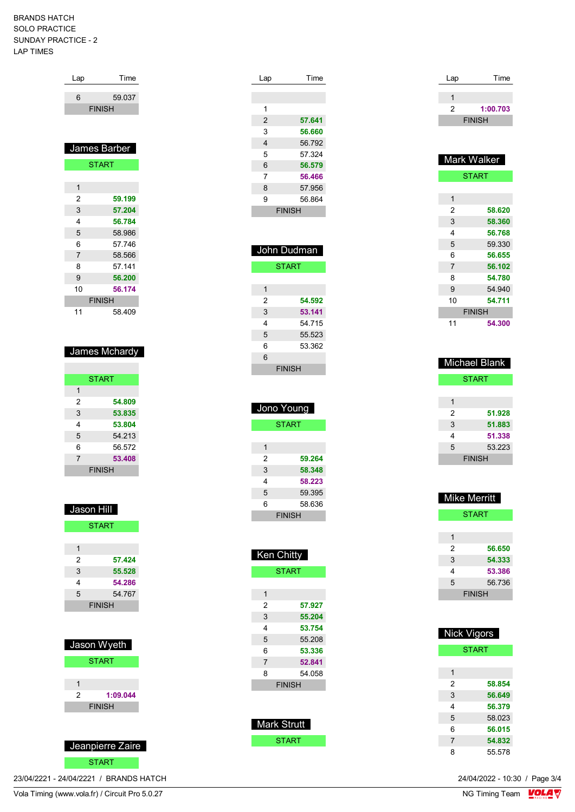## BRANDS HATCH SOLO PRACTICE SUNDAY PRACTICE - 2 LAP TIMES

| Lap | Time          |
|-----|---------------|
|     |               |
| 6   | 59.037        |
|     | <b>FINISH</b> |
|     |               |
|     |               |
|     |               |
|     |               |
|     | James Barber  |
|     |               |
|     | <b>START</b>  |
|     |               |
| 1   |               |
| 2   | 59.199        |

| ت  | 37.ZU4        |  |
|----|---------------|--|
| 4  | 56.784        |  |
| 5  | 58.986        |  |
| 6  | 57.746        |  |
| 7  | 58.566        |  |
| 8  | 57.141        |  |
| 9  | 56,200        |  |
| 10 | 56.174        |  |
|    | <b>FINISH</b> |  |
| 11 | 58.409        |  |

## James Mchardy

|                | <b>START</b>  |
|----------------|---------------|
| 1              |               |
| 2              | 54.809        |
| 3              | 53.835        |
| 4              | 53.804        |
| 5              | 54.213        |
| 6              | 56.572        |
| $\overline{7}$ | 53.408        |
|                | <b>FINISH</b> |

| Jason Hill |                  |
|------------|------------------|
|            | <b>START</b>     |
|            |                  |
| 1          |                  |
| 2          | 57.424           |
| 3          | 55.528           |
| 4          | 54.286           |
| 5          | 54.767           |
|            | <b>FINISH</b>    |
|            |                  |
|            |                  |
|            | Jason Wyeth      |
|            |                  |
|            | <b>START</b>     |
|            |                  |
| 1          |                  |
| 2          | 1:09.044         |
|            | <b>FINISH</b>    |
|            |                  |
|            |                  |
|            | Jeanpierre Zaire |
|            |                  |

| ſA |
|----|

23/04/2221 - 24/04/2221 / BRANDS HATCH

| Lap | Time          |
|-----|---------------|
|     |               |
|     |               |
| 1   |               |
| 2   | 57.641        |
| 3   | 56.660        |
| 4   | 56.792        |
| 5   | 57 324        |
| 6   | 56.579        |
| 7   | 56.466        |
| 8   | 57.956        |
| 9   | 56.864        |
|     | <b>FINISH</b> |
|     |               |

| John Dudman  |               |
|--------------|---------------|
| <b>START</b> |               |
|              |               |
| 1            |               |
| 2            | 54.592        |
| 3            | 53.141        |
| 4            | 54 715        |
| 5            | 55.523        |
| 6            | 53.362        |
| 6            |               |
|              | <b>FINISH</b> |
|              |               |

|               | Jono Young   |
|---------------|--------------|
|               | <b>START</b> |
|               |              |
| 1             |              |
| 2             | 59.264       |
| 3             | 58.348       |
| 4             | 58.223       |
| 5             | 59.395       |
| 6             | 58.636       |
| <b>FINISH</b> |              |
|               |              |

| Ken Chit <u>ty</u> |               |
|--------------------|---------------|
|                    | <b>START</b>  |
|                    |               |
| 1                  |               |
| 2                  | 57.927        |
| 3                  | 55.204        |
| 4                  | 53.754        |
| 5                  | 55.208        |
| 6                  | 53.336        |
| 7                  | 52.841        |
| 8                  | 54.058        |
|                    | <b>FINISH</b> |
|                    |               |
|                    |               |
|                    |               |

| Mark Strutt |  |
|-------------|--|
| START       |  |

| Lap | Time          |
|-----|---------------|
|     |               |
|     |               |
| 2   | 1:00.703      |
|     | <b>FINISH</b> |
|     |               |

| Mark Walker    |              |
|----------------|--------------|
|                | <b>START</b> |
|                |              |
| 1              |              |
| 2              | 58.620       |
| 3              | 58.360       |
| 4              | 56.768       |
| 5              | 59.330       |
| 6              | 56.655       |
| $\overline{7}$ | 56.102       |
| 8              | 54.780       |
| 9              | 54.940       |
| 10             | 54.711       |
| <b>FINISH</b>  |              |
| 11             | 54.300       |

| <b>Michael Blank</b> |               |
|----------------------|---------------|
|                      | <b>START</b>  |
|                      |               |
| 1                    |               |
| 2                    | 51.928        |
| 3                    | 51.883        |
| 4                    | 51.338        |
| 5                    | 53.223        |
|                      | <b>FINISH</b> |

| Mike Merritt |               |
|--------------|---------------|
|              | <b>START</b>  |
|              |               |
| 1            |               |
| 2            | 56.650        |
| 3            | 54.333        |
| 4            | 53.386        |
| 5            | 56.736        |
|              | <b>FINISH</b> |

| <b>Nick Vigors</b> |              |
|--------------------|--------------|
|                    | <b>START</b> |
|                    |              |
| 1                  |              |
| 2                  | 58.854       |
| 3                  | 56.649       |
| 4                  | 56.379       |
| 5                  | 58.023       |
| 6                  | 56.015       |
| 7                  | 54.832       |
| 8                  | 55.578       |

24/04/2022 - 10:30 / Page 3/4<br>NG Timing Team  $\sqrt{\text{OLA}}$